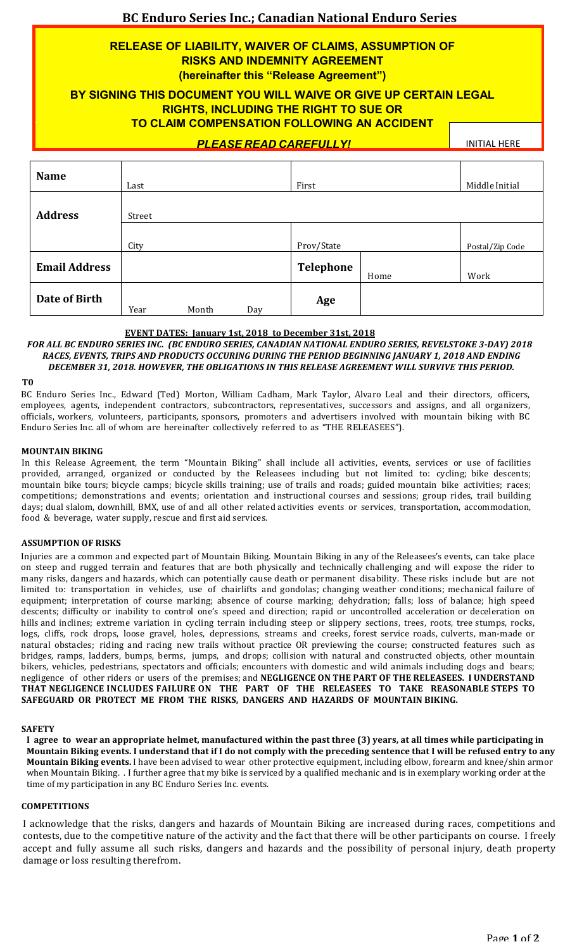# **BC Enduro Series Inc.; Canadian National Enduro Series**

# **RELEASE OF LIABILITY, WAIVER OF CLAIMS, ASSUMPTION OF RISKS AND INDEMNITY AGREEMENT (hereinafter this "Release Agreement")**

# **BY SIGNING THIS DOCUMENT YOU WILL WAIVE OR GIVE UP CERTAIN LEGAL RIGHTS, INCLUDING THE RIGHT TO SUE OR TO CLAIM COMPENSATION FOLLOWING AN ACCIDENT**

*PLEASE READ CAREFULLY!*

**INITIAL HERE** 

| <b>Name</b>          | Last   |       |     | First      |      | Middle Initial  |
|----------------------|--------|-------|-----|------------|------|-----------------|
| <b>Address</b>       | Street |       |     |            |      |                 |
|                      | City   |       |     | Prov/State |      | Postal/Zip Code |
| <b>Email Address</b> |        |       |     | Telephone  | Home | Work            |
| Date of Birth        | Year   | Month | Day | Age        |      |                 |

## **EVENT DATES: January 1st, 2018 to December 31st, 2018**

# *FOR ALL BC ENDURO SERIES INC. (BC ENDURO SERIES, CANADIAN NATIONAL ENDURO SERIES, REVELSTOKE 3-DAY) 2018 RACES, EVENTS, TRIPS AND PRODUCTS OCCURING DURING THE PERIOD BEGINNING JANUARY 1, 2018 AND ENDING*  DECEMBER 31, 2018. HOWEVER, THE OBLIGATIONS IN THIS RELEASE AGREEMENT WILL SURVIVE THIS PERIOD.

**T0**

BC Enduro Series Inc., Edward (Ted) Morton, William Cadham, Mark Taylor, Alvaro Leal and their directors, officers, employees, agents, independent contractors, subcontractors, representatives, successors and assigns, and all organizers, officials, workers, volunteers, participants, sponsors, promoters and advertisers involved with mountain biking with BC Enduro Series Inc. all of whom are hereinafter collectively referred to as "THE RELEASEES").

### **MOUNTAIN BIKING**

In this Release Agreement, the term "Mountain Biking" shall include all activities, events, services or use of facilities provided, arranged, organized or conducted by the Releasees including but not limited to: cycling; bike descents; mountain bike tours; bicycle camps; bicycle skills training; use of trails and roads; guided mountain bike activities; races; competitions; demonstrations and events; orientation and instructional courses and sessions; group rides, trail building days; dual slalom, downhill, BMX, use of and all other related activities events or services, transportation, accommodation, food & beverage, water supply, rescue and first aid services.

## **ASSUMPTION OF RISKS**

Injuries are a common and expected part of Mountain Biking. Mountain Biking in any of the Releasees's events, can take place on steep and rugged terrain and features that are both physically and technically challenging and will expose the rider to many risks, dangers and hazards, which can potentially cause death or permanent disability. These risks include but are not limited to: transportation in vehicles, use of chairlifts and gondolas; changing weather conditions; mechanical failure of equipment; interpretation of course marking; absence of course marking; dehydration; falls; loss of balance; high speed descents; difficulty or inability to control one's speed and direction; rapid or uncontrolled acceleration or deceleration on hills and inclines; extreme variation in cycling terrain including steep or slippery sections, trees, roots, tree stumps, rocks, logs, cliffs, rock drops, loose gravel, holes, depressions, streams and creeks, forest service roads, culverts, man-made or natural obstacles; riding and racing new trails without practice OR previewing the course; constructed features such as bridges, ramps, ladders, bumps, berms, jumps, and drops; collision with natural and constructed objects, other mountain bikers, vehicles, pedestrians, spectators and officials; encounters with domestic and wild animals including dogs and bears; negligence of other riders or users of the premises; and **NEGLIGENCE ON THE PART OF THE RELEASEES. I UNDERSTAND THAT NEGLIGENCE INCLUDES FAILURE ON THE PART OF THE RELEASEES TO TAKE REASONABLE STEPS TO SAFEGUARD OR PROTECT ME FROM THE RISKS, DANGERS AND HAZARDS OF MOUNTAIN BIKING.**

### **SAFETY**

I agree to wear an appropriate helmet, manufactured within the past three (3) years, at all times while participating in Mountain Biking events. I understand that if I do not comply with the preceding sentence that I will be refused entry to any Mountain Biking events. I have been advised to wear other protective equipment, including elbow, forearm and knee/shin armor when Mountain Biking. . I further agree that my bike is serviced by a qualified mechanic and is in exemplary working order at the time of my participation in any BC Enduro Series Inc. events.

### **COMPETITIONS**

I acknowledge that the risks, dangers and hazards of Mountain Biking are increased during races, competitions and contests, due to the competitive nature of the activity and the fact that there will be other participants on course. I freely accept and fully assume all such risks, dangers and hazards and the possibility of personal injury, death property damage or loss resulting therefrom.